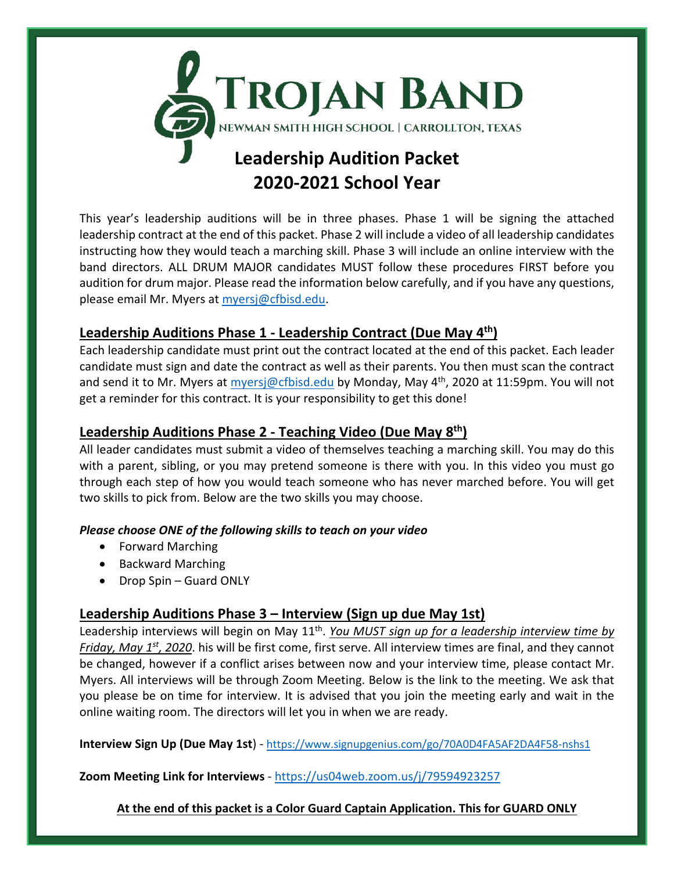

## **Leadership Audition Packet 2020-2021 School Year**

This year's leadership auditions will be in three phases. Phase 1 will be signing the attached leadership contract at the end of this packet. Phase 2 will include a video of all leadership candidates instructing how they would teach a marching skill. Phase 3 will include an online interview with the band directors. ALL DRUM MAJOR candidates MUST follow these procedures FIRST before you audition for drum major. Please read the information below carefully, and if you have any questions, please email Mr. Myers at myersj@cfbisd.edu.

### **Leadership Auditions Phase 1 - Leadership Contract (Due May 4th)**

Each leadership candidate must print out the contract located at the end of this packet. Each leader candidate must sign and date the contract as well as their parents. You then must scan the contract and send it to Mr. Myers at myersj@cfbisd.edu by Monday, May 4<sup>th</sup>, 2020 at 11:59pm. You will not get a reminder for this contract. It is your responsibility to get this done!

#### **Leadership Auditions Phase 2 - Teaching Video (Due May 8th)**

All leader candidates must submit a video of themselves teaching a marching skill. You may do this with a parent, sibling, or you may pretend someone is there with you. In this video you must go through each step of how you would teach someone who has never marched before. You will get two skills to pick from. Below are the two skills you may choose.

#### *Please choose ONE of the following skills to teach on your video*

- Forward Marching
- Backward Marching
- Drop Spin Guard ONLY

### **Leadership Auditions Phase 3 – Interview (Sign up due May 1st)**

Leadership interviews will begin on May 11th. *You MUST sign up for a leadership interview time by Friday, May 1st, 2020*. his will be first come, first serve. All interview times are final, and they cannot be changed, however if a conflict arises between now and your interview time, please contact Mr. Myers. All interviews will be through Zoom Meeting. Below is the link to the meeting. We ask that you please be on time for interview. It is advised that you join the meeting early and wait in the online waiting room. The directors will let you in when we are ready.

**Interview Sign Up (Due May 1st**) - https://www.signupgenius.com/go/70A0D4FA5AF2DA4F58-nshs1

**Zoom Meeting Link for Interviews** - https://us04web.zoom.us/j/79594923257

**At the end of this packet is a Color Guard Captain Application. This for GUARD ONLY**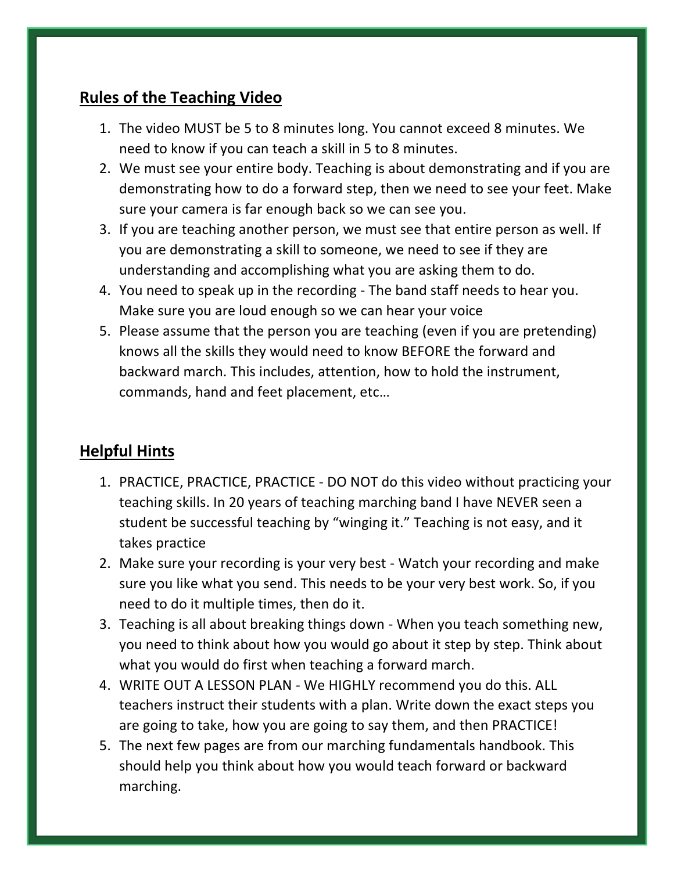### **Rules of the Teaching Video**

- 1. The video MUST be 5 to 8 minutes long. You cannot exceed 8 minutes. We need to know if you can teach a skill in 5 to 8 minutes.
- 2. We must see your entire body. Teaching is about demonstrating and if you are demonstrating how to do a forward step, then we need to see your feet. Make sure your camera is far enough back so we can see you.
- 3. If you are teaching another person, we must see that entire person as well. If you are demonstrating a skill to someone, we need to see if they are understanding and accomplishing what you are asking them to do.
- 4. You need to speak up in the recording The band staff needs to hear you. Make sure you are loud enough so we can hear your voice
- 5. Please assume that the person you are teaching (even if you are pretending) knows all the skills they would need to know BEFORE the forward and backward march. This includes, attention, how to hold the instrument, commands, hand and feet placement, etc…

### **Helpful Hints**

- 1. PRACTICE, PRACTICE, PRACTICE DO NOT do this video without practicing your teaching skills. In 20 years of teaching marching band I have NEVER seen a student be successful teaching by "winging it." Teaching is not easy, and it takes practice
- 2. Make sure your recording is your very best Watch your recording and make sure you like what you send. This needs to be your very best work. So, if you need to do it multiple times, then do it.
- 3. Teaching is all about breaking things down When you teach something new, you need to think about how you would go about it step by step. Think about what you would do first when teaching a forward march.
- 4. WRITE OUT A LESSON PLAN We HIGHLY recommend you do this. ALL teachers instruct their students with a plan. Write down the exact steps you are going to take, how you are going to say them, and then PRACTICE!
- 5. The next few pages are from our marching fundamentals handbook. This should help you think about how you would teach forward or backward marching.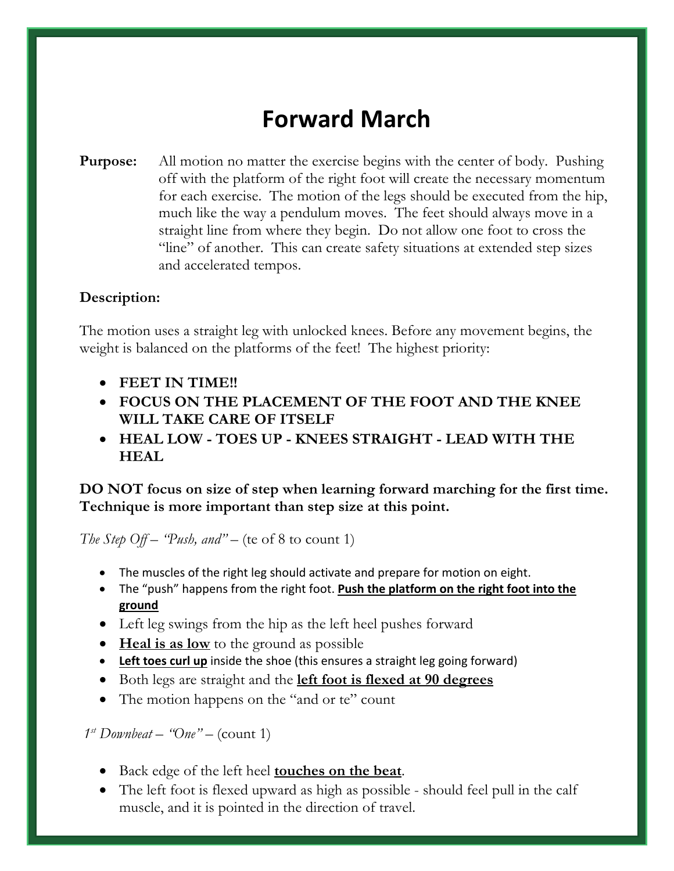# **Forward March**

**Purpose:** All motion no matter the exercise begins with the center of body. Pushing off with the platform of the right foot will create the necessary momentum for each exercise. The motion of the legs should be executed from the hip, much like the way a pendulum moves. The feet should always move in a straight line from where they begin. Do not allow one foot to cross the "line" of another. This can create safety situations at extended step sizes and accelerated tempos.

### **Description:**

The motion uses a straight leg with unlocked knees. Before any movement begins, the weight is balanced on the platforms of the feet! The highest priority:

- **FEET IN TIME!!**
- **FOCUS ON THE PLACEMENT OF THE FOOT AND THE KNEE WILL TAKE CARE OF ITSELF**
- **HEAL LOW - TOES UP - KNEES STRAIGHT - LEAD WITH THE HEAL**

**DO NOT focus on size of step when learning forward marching for the first time. Technique is more important than step size at this point.** 

*The Step Off – "Push, and"* – (te of 8 to count 1)

- The muscles of the right leg should activate and prepare for motion on eight.
- The "push" happens from the right foot. **Push the platform on the right foot into the ground**
- Left leg swings from the hip as the left heel pushes forward
- **Heal is as low** to the ground as possible
- **Left toes curl up** inside the shoe (this ensures a straight leg going forward)
- Both legs are straight and the **left foot is flexed at 90 degrees**
- The motion happens on the "and or te" count

*1st Downbeat – "One"* – (count 1)

- Back edge of the left heel **touches on the beat**.
- The left foot is flexed upward as high as possible should feel pull in the calf muscle, and it is pointed in the direction of travel.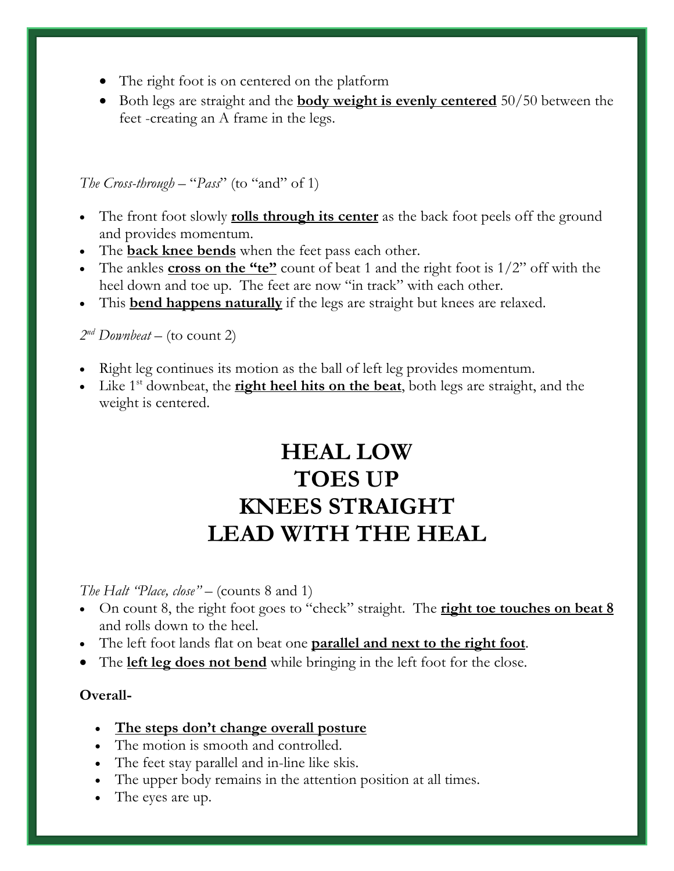- The right foot is on centered on the platform
- Both legs are straight and the **body weight is evenly centered** 50/50 between the feet -creating an A frame in the legs.

*The Cross-through* – "*Pass*" (to "and" of 1)

- The front foot slowly **<u>rolls through its center</u>** as the back foot peels off the ground and provides momentum.
- The **back knee bends** when the feet pass each other.
- The ankles **cross on the "te"** count of beat 1 and the right foot is  $1/2$ " off with the heel down and toe up. The feet are now "in track" with each other.
- This **bend happens naturally** if the legs are straight but knees are relaxed.

*2nd Downbeat* – (to count 2)

- Right leg continues its motion as the ball of left leg provides momentum.
- Like 1<sup>st</sup> downbeat, the **right heel hits on the beat**, both legs are straight, and the weight is centered.

# **HEAL LOW TOES UP KNEES STRAIGHT LEAD WITH THE HEAL**

*The Halt "Place, close"* – (counts 8 and 1)

- On count 8, the right foot goes to "check" straight. The **right toe touches on beat 8** and rolls down to the heel.
- The left foot lands flat on beat one **parallel and next to the right foot**.
- The **left leg does not bend** while bringing in the left foot for the close.

### **Overall-**

- **The steps don't change overall posture**
- The motion is smooth and controlled.
- The feet stay parallel and in-line like skis.
- The upper body remains in the attention position at all times.
- The eyes are up.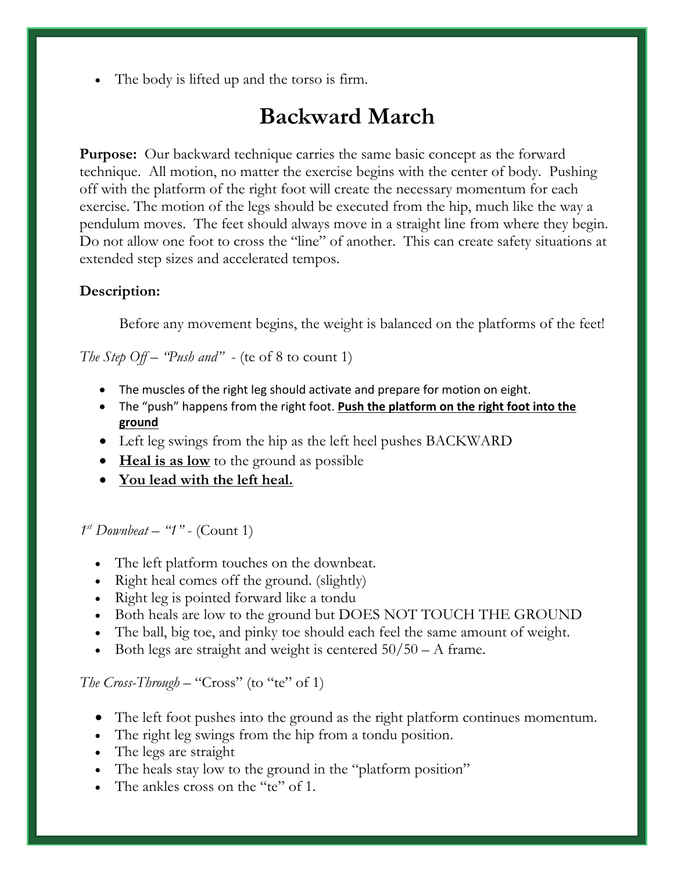The body is lifted up and the torso is firm.

## **Backward March**

**Purpose:** Our backward technique carries the same basic concept as the forward technique. All motion, no matter the exercise begins with the center of body. Pushing off with the platform of the right foot will create the necessary momentum for each exercise. The motion of the legs should be executed from the hip, much like the way a pendulum moves. The feet should always move in a straight line from where they begin. Do not allow one foot to cross the "line" of another. This can create safety situations at extended step sizes and accelerated tempos.

### **Description:**

Before any movement begins, the weight is balanced on the platforms of the feet!

*The Step Off* – *"Push and"* - (te of 8 to count 1)

- The muscles of the right leg should activate and prepare for motion on eight.
- The "push" happens from the right foot. **Push the platform on the right foot into the ground**
- Left leg swings from the hip as the left heel pushes BACKWARD
- **Heal is as low** to the ground as possible
- **You lead with the left heal.**

*1st Downbeat* – *"1"* - (Count 1)

- The left platform touches on the downbeat.
- Right heal comes off the ground. (slightly)
- Right leg is pointed forward like a tondu
- Both heals are low to the ground but DOES NOT TOUCH THE GROUND
- The ball, big toe, and pinky toe should each feel the same amount of weight.
- Both legs are straight and weight is centered  $50/50 A$  frame.

### *The Cross-Through* – "Cross" (to "te" of 1)

- The left foot pushes into the ground as the right platform continues momentum.
- The right leg swings from the hip from a tondu position.
- The legs are straight
- The heals stay low to the ground in the "platform position"
- The ankles cross on the "te" of 1.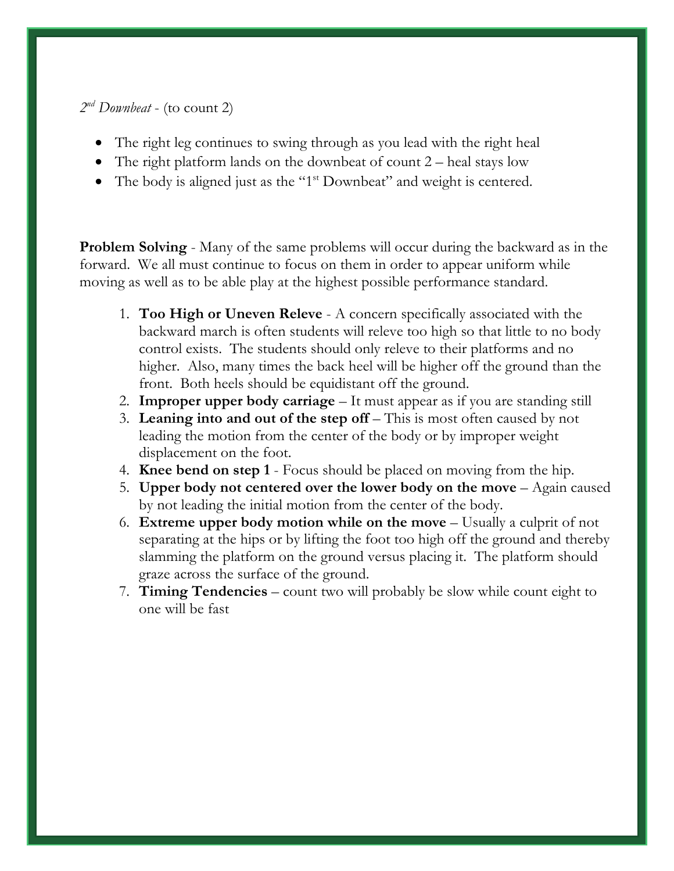### *2nd Downbeat* - (to count 2)

- The right leg continues to swing through as you lead with the right heal
- The right platform lands on the downbeat of count 2 heal stays low
- The body is aligned just as the "1<sup>st</sup> Downbeat" and weight is centered.

**Problem Solving** - Many of the same problems will occur during the backward as in the forward. We all must continue to focus on them in order to appear uniform while moving as well as to be able play at the highest possible performance standard.

- 1. **Too High or Uneven Releve** A concern specifically associated with the backward march is often students will releve too high so that little to no body control exists. The students should only releve to their platforms and no higher. Also, many times the back heel will be higher off the ground than the front. Both heels should be equidistant off the ground.
- 2. **Improper upper body carriage** It must appear as if you are standing still
- 3. **Leaning into and out of the step off** This is most often caused by not leading the motion from the center of the body or by improper weight displacement on the foot.
- 4. **Knee bend on step 1** Focus should be placed on moving from the hip.
- 5. **Upper body not centered over the lower body on the move** Again caused by not leading the initial motion from the center of the body.
- 6. **Extreme upper body motion while on the move** Usually a culprit of not separating at the hips or by lifting the foot too high off the ground and thereby slamming the platform on the ground versus placing it. The platform should graze across the surface of the ground.
- 7. **Timing Tendencies** count two will probably be slow while count eight to one will be fast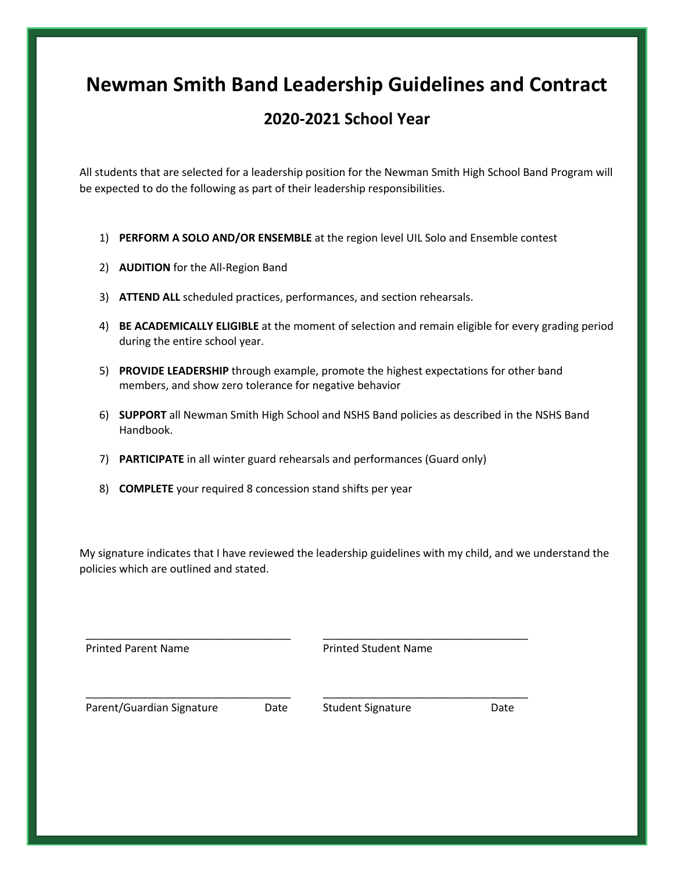## **Newman Smith Band Leadership Guidelines and Contract**

### **2020-2021 School Year**

All students that are selected for a leadership position for the Newman Smith High School Band Program will be expected to do the following as part of their leadership responsibilities.

- 1) **PERFORM A SOLO AND/OR ENSEMBLE** at the region level UIL Solo and Ensemble contest
- 2) **AUDITION** for the All-Region Band
- 3) **ATTEND ALL** scheduled practices, performances, and section rehearsals.
- 4) **BE ACADEMICALLY ELIGIBLE** at the moment of selection and remain eligible for every grading period during the entire school year.
- 5) **PROVIDE LEADERSHIP** through example, promote the highest expectations for other band members, and show zero tolerance for negative behavior
- 6) **SUPPORT** all Newman Smith High School and NSHS Band policies as described in the NSHS Band Handbook.
- 7) **PARTICIPATE** in all winter guard rehearsals and performances (Guard only)
- 8) **COMPLETE** your required 8 concession stand shifts per year

My signature indicates that I have reviewed the leadership guidelines with my child, and we understand the policies which are outlined and stated.

| <b>Printed Parent Name</b> |      | <b>Printed Student Name</b> |      |  |
|----------------------------|------|-----------------------------|------|--|
| Parent/Guardian Signature  | Date | <b>Student Signature</b>    | Date |  |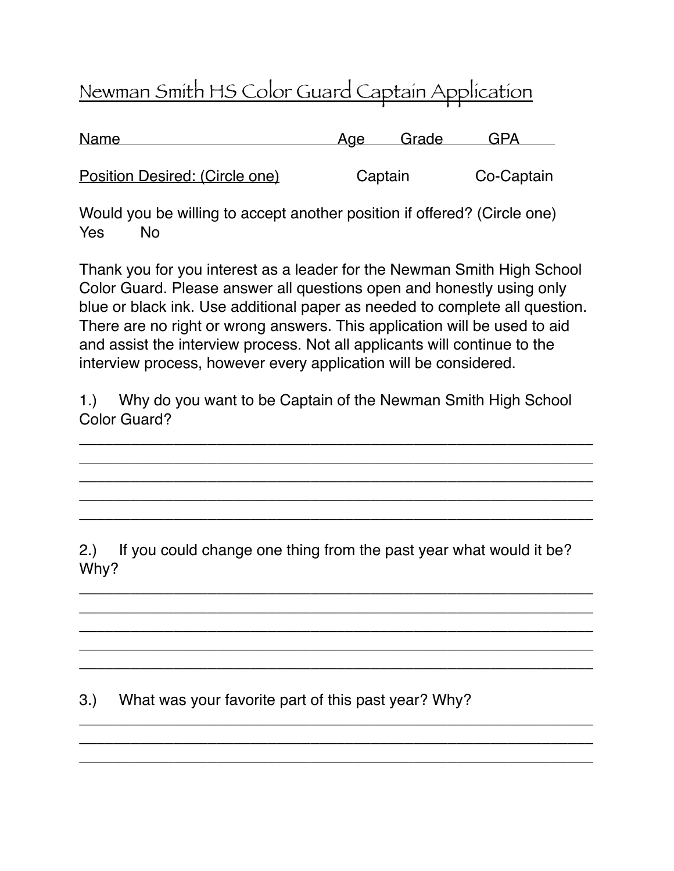# Newman Smith HS Color Guard Captain Application

| <b>Name</b>                    | Age     | Grade | GPA        |
|--------------------------------|---------|-------|------------|
|                                |         |       |            |
| Position Desired: (Circle one) | Captain |       | Co-Captain |

Would you be willing to accept another position if offered? (Circle one) Yes No

Thank you for you interest as a leader for the Newman Smith High School Color Guard. Please answer all questions open and honestly using only blue or black ink. Use additional paper as needed to complete all question. There are no right or wrong answers. This application will be used to aid and assist the interview process. Not all applicants will continue to the interview process, however every application will be considered.

1.) Why do you want to be Captain of the Newman Smith High School Color Guard?

\_\_\_\_\_\_\_\_\_\_\_\_\_\_\_\_\_\_\_\_\_\_\_\_\_\_\_\_\_\_\_\_\_\_\_\_\_\_\_\_\_\_\_\_\_\_\_\_\_\_\_\_\_\_\_\_\_\_\_\_ \_\_\_\_\_\_\_\_\_\_\_\_\_\_\_\_\_\_\_\_\_\_\_\_\_\_\_\_\_\_\_\_\_\_\_\_\_\_\_\_\_\_\_\_\_\_\_\_\_\_\_\_\_\_\_\_\_\_\_\_ \_\_\_\_\_\_\_\_\_\_\_\_\_\_\_\_\_\_\_\_\_\_\_\_\_\_\_\_\_\_\_\_\_\_\_\_\_\_\_\_\_\_\_\_\_\_\_\_\_\_\_\_\_\_\_\_\_\_\_\_ \_\_\_\_\_\_\_\_\_\_\_\_\_\_\_\_\_\_\_\_\_\_\_\_\_\_\_\_\_\_\_\_\_\_\_\_\_\_\_\_\_\_\_\_\_\_\_\_\_\_\_\_\_\_\_\_\_\_\_\_ \_\_\_\_\_\_\_\_\_\_\_\_\_\_\_\_\_\_\_\_\_\_\_\_\_\_\_\_\_\_\_\_\_\_\_\_\_\_\_\_\_\_\_\_\_\_\_\_\_\_\_\_\_\_\_\_\_\_\_\_

2.) If you could change one thing from the past year what would it be? Why?

\_\_\_\_\_\_\_\_\_\_\_\_\_\_\_\_\_\_\_\_\_\_\_\_\_\_\_\_\_\_\_\_\_\_\_\_\_\_\_\_\_\_\_\_\_\_\_\_\_\_\_\_\_\_\_\_\_\_\_\_ \_\_\_\_\_\_\_\_\_\_\_\_\_\_\_\_\_\_\_\_\_\_\_\_\_\_\_\_\_\_\_\_\_\_\_\_\_\_\_\_\_\_\_\_\_\_\_\_\_\_\_\_\_\_\_\_\_\_\_\_ \_\_\_\_\_\_\_\_\_\_\_\_\_\_\_\_\_\_\_\_\_\_\_\_\_\_\_\_\_\_\_\_\_\_\_\_\_\_\_\_\_\_\_\_\_\_\_\_\_\_\_\_\_\_\_\_\_\_\_\_ \_\_\_\_\_\_\_\_\_\_\_\_\_\_\_\_\_\_\_\_\_\_\_\_\_\_\_\_\_\_\_\_\_\_\_\_\_\_\_\_\_\_\_\_\_\_\_\_\_\_\_\_\_\_\_\_\_\_\_\_ \_\_\_\_\_\_\_\_\_\_\_\_\_\_\_\_\_\_\_\_\_\_\_\_\_\_\_\_\_\_\_\_\_\_\_\_\_\_\_\_\_\_\_\_\_\_\_\_\_\_\_\_\_\_\_\_\_\_\_\_

\_\_\_\_\_\_\_\_\_\_\_\_\_\_\_\_\_\_\_\_\_\_\_\_\_\_\_\_\_\_\_\_\_\_\_\_\_\_\_\_\_\_\_\_\_\_\_\_\_\_\_\_\_\_\_\_\_\_\_\_ \_\_\_\_\_\_\_\_\_\_\_\_\_\_\_\_\_\_\_\_\_\_\_\_\_\_\_\_\_\_\_\_\_\_\_\_\_\_\_\_\_\_\_\_\_\_\_\_\_\_\_\_\_\_\_\_\_\_\_\_ \_\_\_\_\_\_\_\_\_\_\_\_\_\_\_\_\_\_\_\_\_\_\_\_\_\_\_\_\_\_\_\_\_\_\_\_\_\_\_\_\_\_\_\_\_\_\_\_\_\_\_\_\_\_\_\_\_\_\_\_

3.) What was your favorite part of this past year? Why?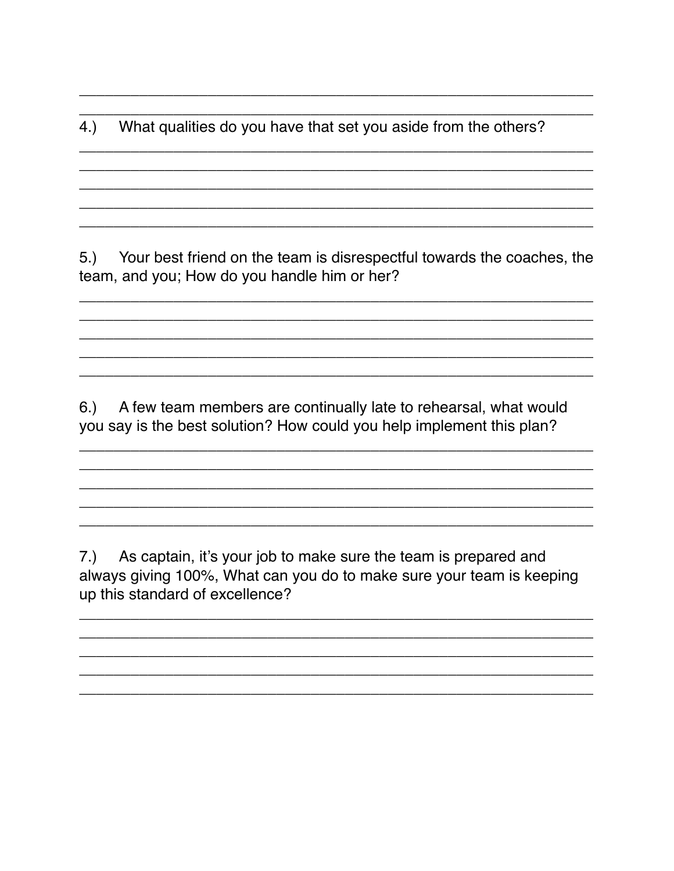$4.$ ) What qualities do you have that set you aside from the others?

Your best friend on the team is disrespectful towards the coaches, the  $5.$ team, and you; How do you handle him or her?

 $6.)$ A few team members are continually late to rehearsal, what would you say is the best solution? How could you help implement this plan?

As captain, it's your job to make sure the team is prepared and  $7.)$ always giving 100%, What can you do to make sure your team is keeping up this standard of excellence?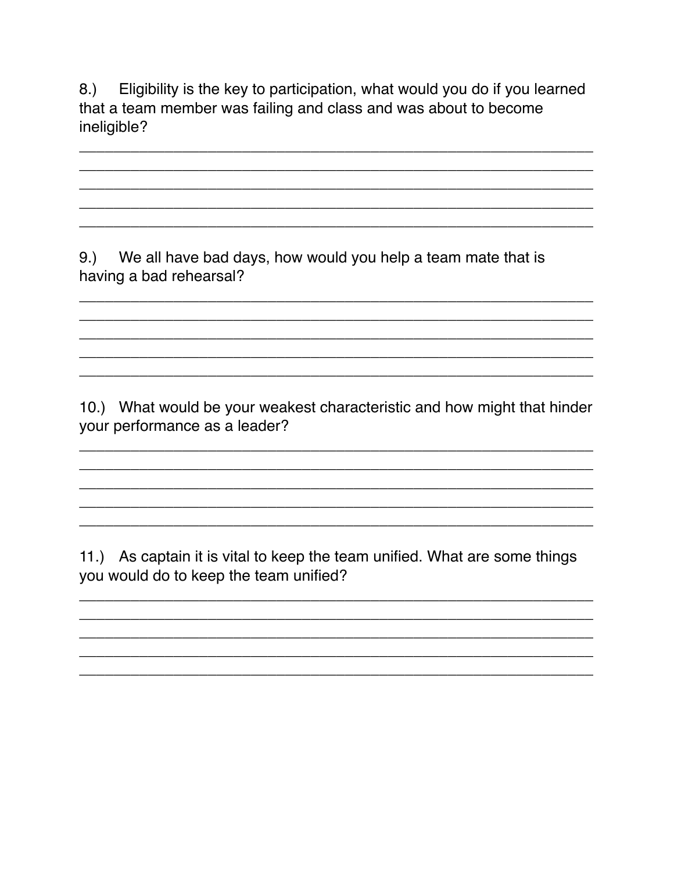Eligibility is the key to participation, what would you do if you learned  $8.$ that a team member was failing and class and was about to become ineligible?

We all have bad days, how would you help a team mate that is  $9.)$ having a bad rehearsal?

10.) What would be your weakest characteristic and how might that hinder your performance as a leader?

11.) As captain it is vital to keep the team unified. What are some things you would do to keep the team unified?